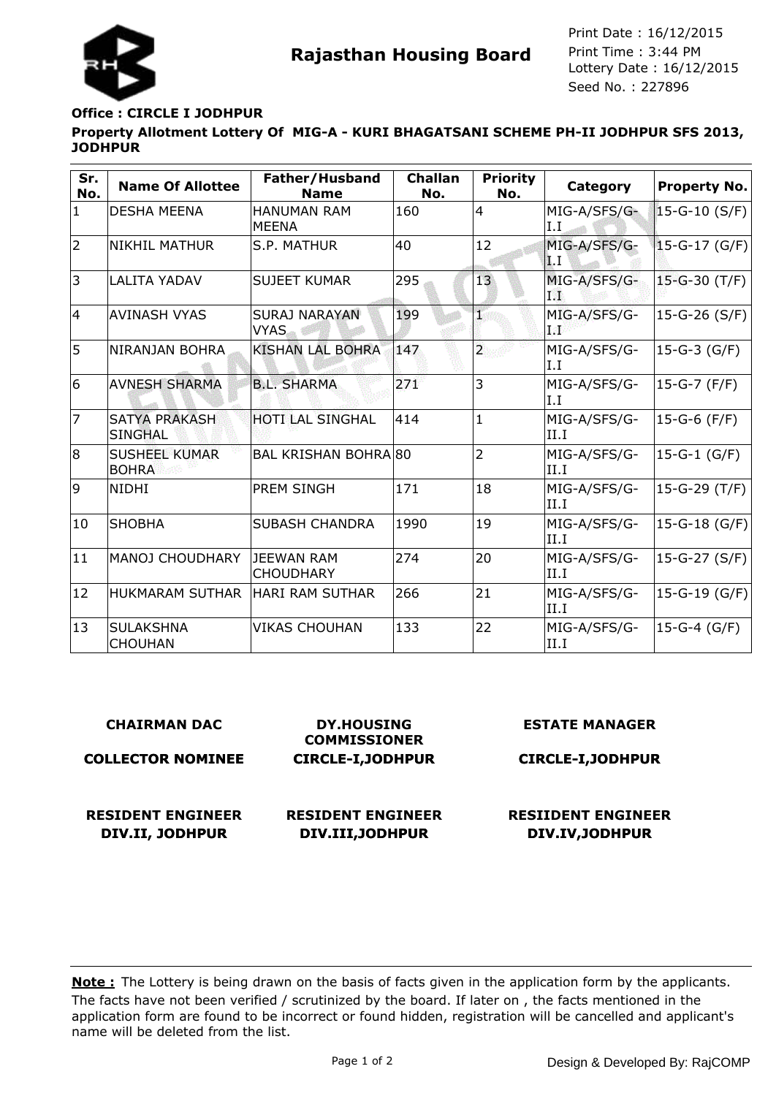

**Rajasthan Housing Board** Print Time : 3:44 PM<br>Lottery Date : 16/12/2015 Seed No. : 227896 Print Date : 16/12/2015 Print Time : 3:44 PM

## **Office : CIRCLE I JODHPUR**

# **Property Allotment Lottery Of MIG-A - KURI BHAGATSANI SCHEME PH-II JODHPUR SFS 2013, JODHPUR**

| Sr.<br>No.     | <b>Name Of Allottee</b>                | Father/Husband<br><b>Name</b>       | <b>Challan</b><br>No. | <b>Priority</b><br>No.  | Category                     | <b>Property No.</b> |
|----------------|----------------------------------------|-------------------------------------|-----------------------|-------------------------|------------------------------|---------------------|
| $\mathbf{1}$   | <b>DESHA MEENA</b>                     | <b>HANUMAN RAM</b><br><b>MEENA</b>  | 160                   | $\overline{4}$          | MIG-A/SFS/G-<br>I.I          | $15-G-10(S/F)$      |
| $\overline{2}$ | <b>NIKHIL MATHUR</b>                   | S.P. MATHUR                         | 40                    | 12                      | MIG-A/SFS/G-<br>$\mathbf{1}$ | $15-G-17(G/F)$      |
| 3              | <b>LALITA YADAV</b>                    | <b>SUJEET KUMAR</b>                 | 295                   | 13                      | MIG-A/SFS/G-<br>198          | $15-G-30(T/F)$      |
| 14             | <b>AVINASH VYAS</b>                    | <b>SURAJ NARAYAN</b><br><b>VYAS</b> | 199                   | I                       | MIG-A/SFS/G-<br>a 26         | 15-G-26 (S/F)       |
| 5              | NIRANJAN BOHRA                         | <b>KISHAN LAL BOHRA</b>             | 147                   | $\overline{\mathbf{2}}$ | MIG-A/SFS/G-<br>I.I          | 15-G-3 (G/F)        |
| 6              | <b>AVNESH SHARMA</b>                   | <b>B.L. SHARMA</b>                  | 271                   | $\overline{3}$          | MIG-A/SFS/G-<br>I.I          | $15-G-7$ (F/F)      |
| $\overline{7}$ | <b>SATYA PRAKASH</b><br><b>SINGHAL</b> | HOTI LAL SINGHAL                    | 414                   | $\mathbf{1}$            | MIG-A/SFS/G-<br>II.I         | 15-G-6 (F/F)        |
| 8              | <b>SUSHEEL KUMAR</b><br><b>BOHRA</b>   | <b>BAL KRISHAN BOHRA 80</b>         |                       | $\overline{2}$          | MIG-A/SFS/G-<br>II.I         | 15-G-1 (G/F)        |
| 9              | <b>NIDHI</b>                           | PREM SINGH                          | 171                   | 18                      | MIG-A/SFS/G-<br>II.I         | $15-G-29(T/F)$      |
| 10             | <b>SHOBHA</b>                          | <b>SUBASH CHANDRA</b>               | 1990                  | 19                      | MIG-A/SFS/G-<br>II.I         | 15-G-18 (G/F)       |
| 11             | MANOJ CHOUDHARY                        | JEEWAN RAM<br><b>CHOUDHARY</b>      | 274                   | 20                      | MIG-A/SFS/G-<br>II.I         | 15-G-27 $(S/F)$     |
| 12             | HUKMARAM SUTHAR                        | HARI RAM SUTHAR                     | 266                   | 21                      | MIG-A/SFS/G-<br>II.I         | 15-G-19 (G/F)       |
| 13             | <b>SULAKSHNA</b><br><b>CHOUHAN</b>     | <b>VIKAS CHOUHAN</b>                | 133                   | 22                      | MIG-A/SFS/G-<br>II.I         | 15-G-4 (G/F)        |

#### **CHAIRMAN DAC**

#### **COLLECTOR NOMINEE**

**DIV.II, JODHPUR**

**RESIDENT ENGINEER**

**DIV.III,JODHPUR**

**DY.HOUSING COMMISSIONER CIRCLE-I,JODHPUR**

**RESIDENT ENGINEER**

**ESTATE MANAGER**

**CIRCLE-I,JODHPUR**

**RESIIDENT ENGINEER DIV.IV,JODHPUR**

The facts have not been verified / scrutinized by the board. If later on , the facts mentioned in the application form are found to be incorrect or found hidden, registration will be cancelled and applicant's name will be deleted from the list. **Note :** The Lottery is being drawn on the basis of facts given in the application form by the applicants.